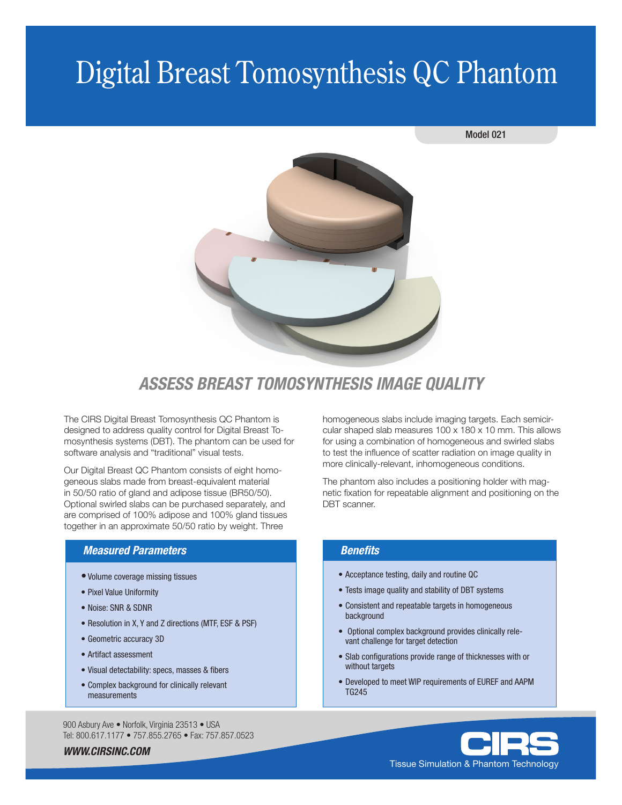# Digital Breast Tomosynthesis QC Phantom

#### Model 021



## *ASSESS BREAST TOMOSYNTHESIS IMAGE QUALITY*

The CIRS Digital Breast Tomosynthesis QC Phantom is designed to address quality control for Digital Breast Tomosynthesis systems (DBT). The phantom can be used for software analysis and "traditional" visual tests.

Our Digital Breast QC Phantom consists of eight homogeneous slabs made from breast-equivalent material in 50/50 ratio of gland and adipose tissue (BR50/50). Optional swirled slabs can be purchased separately, and are comprised of 100% adipose and 100% gland tissues together in an approximate 50/50 ratio by weight. Three

### *Measured Parameters*

- •Volume coverage missing tissues
- Pixel Value Uniformity
- Noise: SNR & SDNR
- Resolution in X, Y and Z directions (MTF, ESF & PSF)
- Geometric accuracy 3D
- Artifact assessment
- Visual detectability: specs, masses & fibers
- Complex background for clinically relevant measurements

900 Asbury Ave · Norfolk, Virginia 23513 · USA Tel: 800.617.1177 • 757.855.2765 • Fax: 757.857.0523

*WWW.CIRSINC.COM*

homogeneous slabs include imaging targets. Each semicircular shaped slab measures 100 x 180 x 10 mm. This allows for using a combination of homogeneous and swirled slabs to test the influence of scatter radiation on image quality in more clinically-relevant, inhomogeneous conditions.

The phantom also includes a positioning holder with magnetic fixation for repeatable alignment and positioning on the DBT scanner.

### *Benefits*

- Acceptance testing, daily and routine QC
- Tests image quality and stability of DBT systems
- Consistent and repeatable targets in homogeneous background
- Optional complex background provides clinically rele vant challenge for target detection
- Slab configurations provide range of thicknesses with or without targets
- Developed to meet WIP requirements of EUREF and AAPM TG245